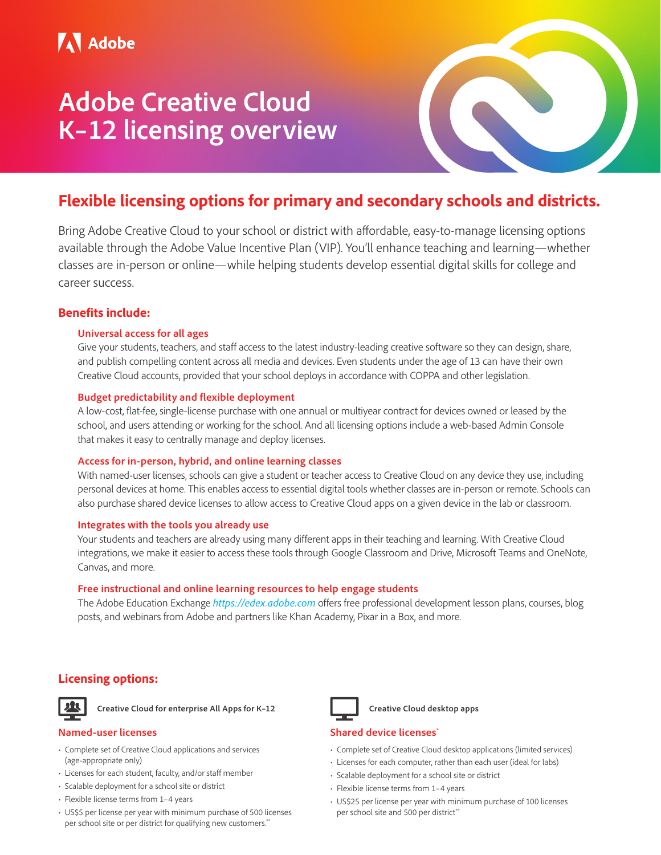# **Adobe Creative Cloud K–12 licensing overview**



## **Flexible licensing options for primary and secondary schools and districts.**

Bring Adobe Creative Cloud to your school or district with affordable, easy-to-manage licensing options available through the Adobe Value Incentive Plan (VIP). You'll enhance teaching and learning—whether classes are in-person or online—while helping students develop essential digital skills for college and career success.

### **Benefits include:**

#### **Universal access for all ages**

Give your students, teachers, and staff access to the latest industry-leading creative software so they can design, share, and publish compelling content across all media and devices. Even students under the age of 13 can have their own Creative Cloud accounts, provided that your school deploys in accordance with COPPA and other legislation.

#### **Budget predictability and flexible deployment**

A low-cost, flat-fee, single-license purchase with one annual or multiyear contract for devices owned or leased by the school, and users attending or working for the school. And all licensing options include a web-based Admin Console that makes it easy to centrally manage and deploy licenses.

#### **Access for in-person, hybrid, and online learning classes**

With named-user licenses, schools can give a student or teacher access to Creative Cloud on any device they use, including personal devices at home. This enables access to essential digital tools whether classes are in-person or remote. Schools can also purchase shared device licenses to allow access to Creative Cloud apps on a given device in the lab or classroom.

#### **Integrates with the tools you already use**

Your students and teachers are already using many different apps in their teaching and learning. With Creative Cloud integrations, we make it easier to access these tools through Google Classroom and Drive, Microsoft Teams and OneNote, Canvas, and more.

#### **Free instructional and online learning resources to help engage students**

The Adobe Education Exchange *<https://edex.adobe.com>* offers free professional development lesson plans, courses, blog posts, and webinars from Adobe and partners like Khan Academy, Pixar in a Box, and more.

### **Licensing options:**



 **Creative Cloud for enterprise All Apps for K–12**

#### **Named-user licenses**

- Complete set of Creative Cloud applications and services (age-appropriate only)
- Licenses for each student, faculty, and/or staff member
- Scalable deployment for a school site or district
- Flexible license terms from 1–4 years
- US\$5 per license per year with minimum purchase of 500 licenses per school site or per district for qualifying new customers.\*\*



#### **Creative Cloud desktop apps**

#### **Shared device licenses**<sup>\*</sup>

- Complete set of Creative Cloud desktop applications (limited services)
- Licenses for each computer, rather than each user (ideal for labs)
- Scalable deployment for a school site or district
- Flexible license terms from 1–4 years
- US\$25 per license per year with minimum purchase of 100 licenses per school site and 500 per district\*\*